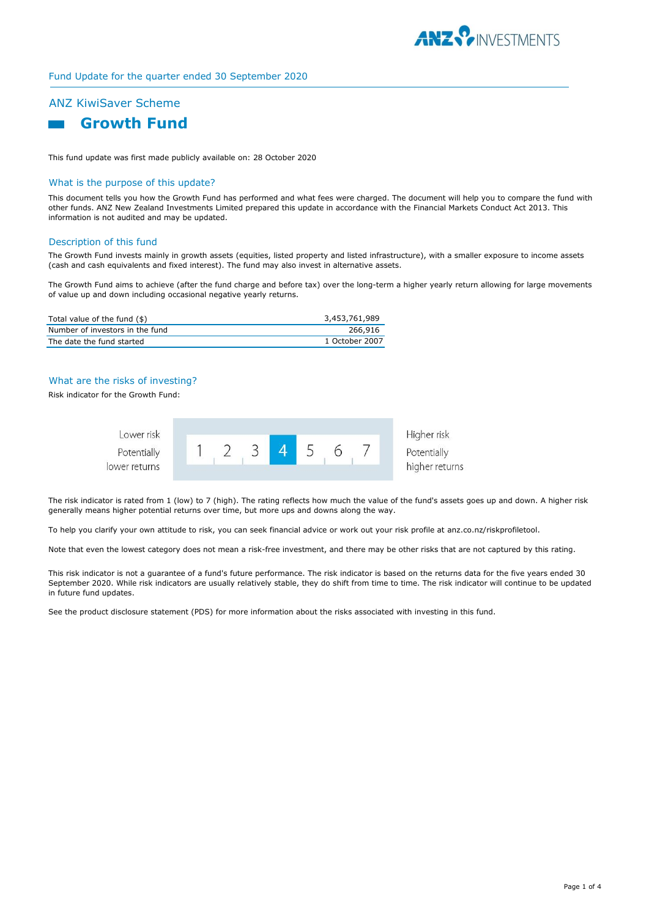

# Fund Update for the quarter ended 30 September 2020

# ANZ KiwiSaver Scheme



This fund update was first made publicly available on: 28 October 2020

## What is the purpose of this update?

This document tells you how the Growth Fund has performed and what fees were charged. The document will help you to compare the fund with other funds. ANZ New Zealand Investments Limited prepared this update in accordance with the Financial Markets Conduct Act 2013. This information is not audited and may be updated.

#### Description of this fund

The Growth Fund invests mainly in growth assets (equities, listed property and listed infrastructure), with a smaller exposure to income assets (cash and cash equivalents and fixed interest). The fund may also invest in alternative assets.

The Growth Fund aims to achieve (after the fund charge and before tax) over the long-term a higher yearly return allowing for large movements of value up and down including occasional negative yearly returns.

| Total value of the fund (\$)    | 3,453,761,989  |
|---------------------------------|----------------|
| Number of investors in the fund | 266.916        |
| The date the fund started       | 1 October 2007 |

## What are the risks of investing?

Risk indicator for the Growth Fund:



Higher risk higher returns

The risk indicator is rated from 1 (low) to 7 (high). The rating reflects how much the value of the fund's assets goes up and down. A higher risk generally means higher potential returns over time, but more ups and downs along the way.

To help you clarify your own attitude to risk, you can seek financial advice or work out your risk profile at anz.co.nz/riskprofiletool.

Note that even the lowest category does not mean a risk-free investment, and there may be other risks that are not captured by this rating.

This risk indicator is not a guarantee of a fund's future performance. The risk indicator is based on the returns data for the five years ended 30 September 2020. While risk indicators are usually relatively stable, they do shift from time to time. The risk indicator will continue to be updated in future fund updates.

See the product disclosure statement (PDS) for more information about the risks associated with investing in this fund.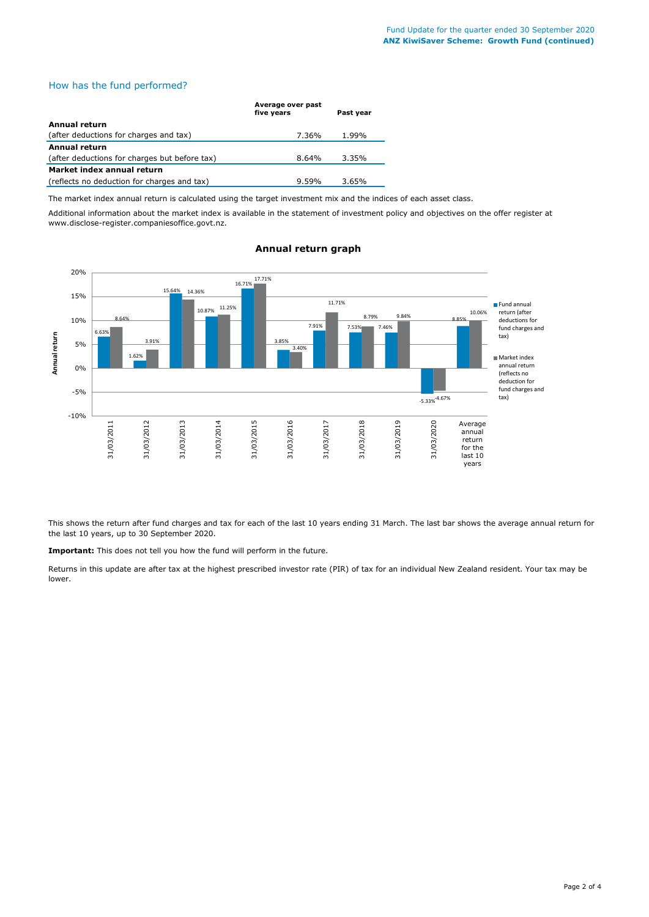# How has the fund performed?

|                                               | Average over past<br>five years | Past year |  |
|-----------------------------------------------|---------------------------------|-----------|--|
| Annual return                                 |                                 |           |  |
| (after deductions for charges and tax)        | 7.36%                           | 1.99%     |  |
| <b>Annual return</b>                          |                                 |           |  |
| (after deductions for charges but before tax) | 8.64%                           | 3.35%     |  |
| Market index annual return                    |                                 |           |  |
| (reflects no deduction for charges and tax)   | 9.59%                           | 3.65%     |  |

The market index annual return is calculated using the target investment mix and the indices of each asset class.

Additional information about the market index is available in the statement of investment policy and objectives on the offer register at www.disclose-register.companiesoffice.govt.nz.



# **Annual return graph**

This shows the return after fund charges and tax for each of the last 10 years ending 31 March. The last bar shows the average annual return for the last 10 years, up to 30 September 2020.

**Important:** This does not tell you how the fund will perform in the future.

Returns in this update are after tax at the highest prescribed investor rate (PIR) of tax for an individual New Zealand resident. Your tax may be lower.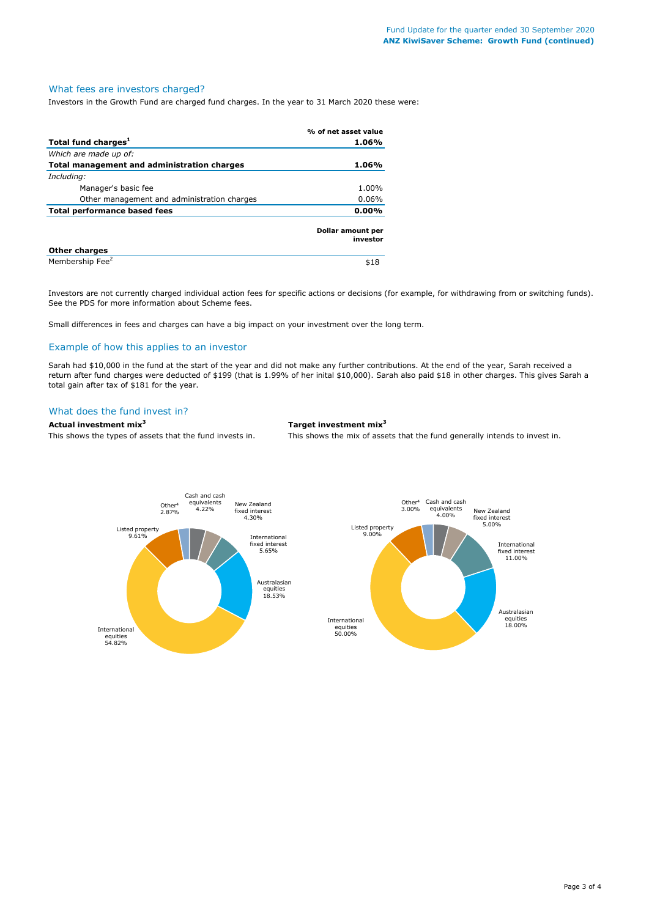# What fees are investors charged?

Investors in the Growth Fund are charged fund charges. In the year to 31 March 2020 these were:

|                                             | % of net asset value          |
|---------------------------------------------|-------------------------------|
| Total fund charges <sup>1</sup>             | 1.06%                         |
| Which are made up of:                       |                               |
| Total management and administration charges | 1.06%                         |
| Including:                                  |                               |
| Manager's basic fee                         | 1.00%                         |
| Other management and administration charges | $0.06\%$                      |
| <b>Total performance based fees</b>         | $0.00\%$                      |
|                                             | Dollar amount per<br>investor |
| <b>Other charges</b>                        |                               |
| Membership Fee <sup>2</sup>                 | \$18                          |

Investors are not currently charged individual action fees for specific actions or decisions (for example, for withdrawing from or switching funds). See the PDS for more information about Scheme fees.

Small differences in fees and charges can have a big impact on your investment over the long term.

# Example of how this applies to an investor

Sarah had \$10,000 in the fund at the start of the year and did not make any further contributions. At the end of the year, Sarah received a return after fund charges were deducted of \$199 (that is 1.99% of her inital \$10,000). Sarah also paid \$18 in other charges. This gives Sarah a total gain after tax of \$181 for the year.

# What does the fund invest in?

#### **Actual investment mix<sup>3</sup> Target investment mix<sup>3</sup>**

This shows the types of assets that the fund invests in. This shows the mix of assets that the fund generally intends to invest in.